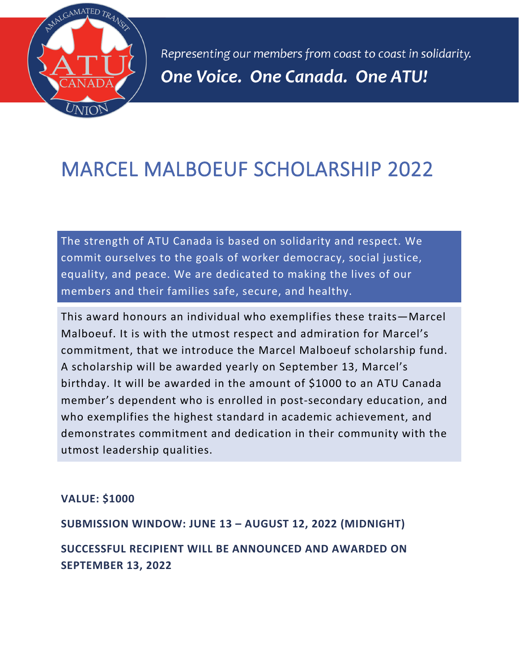

Representing our members from coast to coast in solidarity. One Voice. One Canada. One ATU!

## MARCEL MALBOEUF SCHOLARSHIP 2022

The strength of ATU Canada is based on solidarity and respect. We commit ourselves to the goals of worker democracy, social justice, equality, and peace. We are dedicated to making the lives of our members and their families safe, secure, and healthy.

This award honours an individual who exemplifies these traits—Marcel Malboeuf. It is with the utmost respect and admiration for Marcel's commitment, that we introduce the Marcel Malboeuf scholarship fund. A scholarship will be awarded yearly on September 13, Marcel's birthday. It will be awarded in the amount of \$1000 to an ATU Canada member's dependent who is enrolled in post-secondary education, and who exemplifies the highest standard in academic achievement, and demonstrates commitment and dedication in their community with the utmost leadership qualities.

## **VALUE: \$1000**

**SUBMISSION WINDOW: JUNE 13 – AUGUST 12, 2022 (MIDNIGHT)**

**SUCCESSFUL RECIPIENT WILL BE ANNOUNCED AND AWARDED ON SEPTEMBER 13, 2022**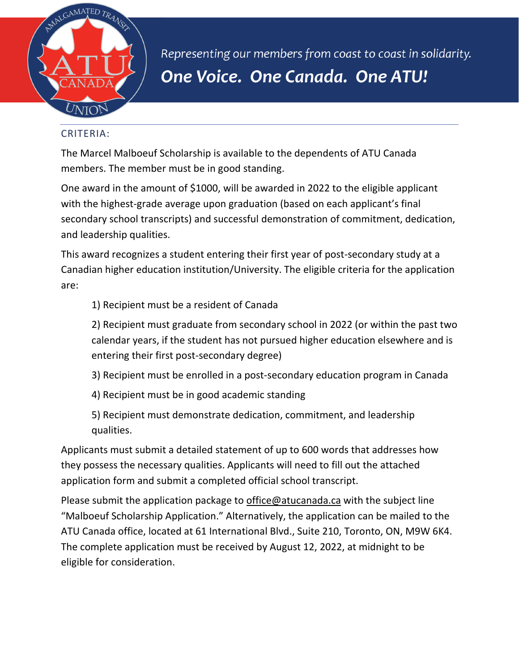

Representing our members from coast to coast in solidarity. One Voice. One Canada. One ATU!

## CRITERIA:

The Marcel Malboeuf Scholarship is available to the dependents of ATU Canada members. The member must be in good standing.

One award in the amount of \$1000, will be awarded in 2022 to the eligible applicant with the highest-grade average upon graduation (based on each applicant's final secondary school transcripts) and successful demonstration of commitment, dedication, and leadership qualities.

This award recognizes a student entering their first year of post-secondary study at a Canadian higher education institution/University. The eligible criteria for the application are:

1) Recipient must be a resident of Canada

2) Recipient must graduate from secondary school in 2022 (or within the past two calendar years, if the student has not pursued higher education elsewhere and is entering their first post-secondary degree)

- 3) Recipient must be enrolled in a post-secondary education program in Canada
- 4) Recipient must be in good academic standing

5) Recipient must demonstrate dedication, commitment, and leadership qualities.

Applicants must submit a detailed statement of up to 600 words that addresses how they possess the necessary qualities. Applicants will need to fill out the attached application form and submit a completed official school transcript.

Please submit the application package to [office@atucanada.ca](mailto:office@atucanada.ca) with the subject line "Malboeuf Scholarship Application." Alternatively, the application can be mailed to the ATU Canada office, located at 61 International Blvd., Suite 210, Toronto, ON, M9W 6K4. The complete application must be received by August 12, 2022, at midnight to be eligible for consideration.